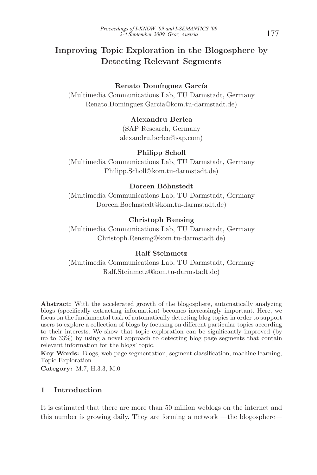# **Improving Topic Exploration in the Blogosphere by Detecting Relevant Segments**

## **Renato Domínguez García**

(Multimedia Communications Lab, TU Darmstadt, Germany Renato.Dominguez.Garcia@kom.tu-darmstadt.de)

# **Alexandru Berlea**

(SAP Research, Germany alexandru.berlea@sap.com)

#### **Philipp Scholl**

(Multimedia Communications Lab, TU Darmstadt, Germany Philipp.Scholl@kom.tu-darmstadt.de)

#### Doreen Böhnstedt

(Multimedia Communications Lab, TU Darmstadt, Germany Doreen.Boehnstedt@kom.tu-darmstadt.de)

#### **Christoph Rensing**

(Multimedia Communications Lab, TU Darmstadt, Germany Christoph.Rensing@kom.tu-darmstadt.de)

# **Ralf Steinmetz**

(Multimedia Communications Lab, TU Darmstadt, Germany Ralf.Steinmetz@kom.tu-darmstadt.de)

**Abstract:** With the accelerated growth of the blogosphere, automatically analyzing blogs (specifically extracting information) becomes increasingly important. Here, we focus on the fundamental task of automatically detecting blog topics in order to support users to explore a collection of blogs by focusing on different particular topics according to their interests. We show that topic exploration can be significantly improved (by up to 33%) by using a novel approach to detecting blog page segments that contain relevant information for the blogs' topic.

**Key Words:** Blogs, web page segmentation, segment classification, machine learning, Topic Exploration

**Category:** M.7, H.3.3, M.0

# **1 Introduction**

It is estimated that there are more than 50 million weblogs on the internet and this number is growing daily. They are forming a network —the blogosphere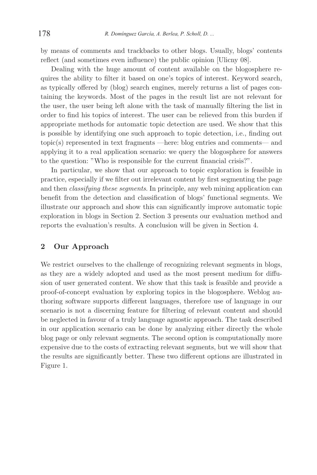by means of comments and trackbacks to other blogs. Usually, blogs' contents reflect (and sometimes even influence) the public opinion [Ulicny 08].

Dealing with the huge amount of content available on the blogosphere requires the ability to filter it based on one's topics of interest. Keyword search, as typically offered by (blog) search engines, merely returns a list of pages containing the keywords. Most of the pages in the result list are not relevant for the user, the user being left alone with the task of manually filtering the list in order to find his topics of interest. The user can be relieved from this burden if appropriate methods for automatic topic detection are used. We show that this is possible by identifying one such approach to topic detection, i.e., finding out topic(s) represented in text fragments —here: blog entries and comments— and applying it to a real application scenario: we query the blogosphere for answers to the question: "Who is responsible for the current financial crisis?".

In particular, we show that our approach to topic exploration is feasible in practice, especially if we filter out irrelevant content by first segmenting the page and then classifying these segments. In principle, any web mining application can benefit from the detection and classification of blogs' functional segments. We illustrate our approach and show this can significantly improve automatic topic exploration in blogs in Section 2. Section 3 presents our evaluation method and reports the evaluation's results. A conclusion will be given in Section 4.

## **2 Our Approach**

We restrict ourselves to the challenge of recognizing relevant segments in blogs, as they are a widely adopted and used as the most present medium for diffusion of user generated content. We show that this task is feasible and provide a proof-of-concept evaluation by exploring topics in the blogosphere. Weblog authoring software supports different languages, therefore use of language in our scenario is not a discerning feature for filtering of relevant content and should be neglected in favour of a truly language agnostic approach. The task described in our application scenario can be done by analyzing either directly the whole blog page or only relevant segments. The second option is computationally more expensive due to the costs of extracting relevant segments, but we will show that the results are significantly better. These two different options are illustrated in Figure 1.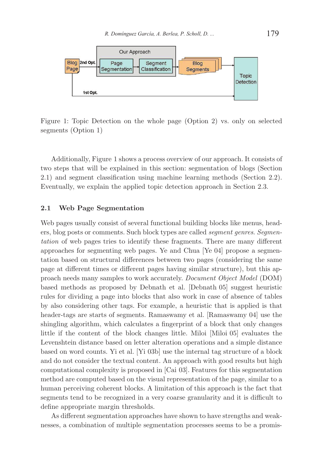

Figure 1: Topic Detection on the whole page (Option 2) vs. only on selected segments (Option 1)

Additionally, Figure 1 shows a process overview of our approach. It consists of two steps that will be explained in this section: segmentation of blogs (Section 2.1) and segment classification using machine learning methods (Section 2.2). Eventually, we explain the applied topic detection approach in Section 2.3.

#### **2.1 Web Page Segmentation**

Web pages usually consist of several functional building blocks like menus, headers, blog posts or comments. Such block types are called segment genres. Segmentation of web pages tries to identify these fragments. There are many different approaches for segmenting web pages. Ye and Chua [Ye 04] propose a segmentation based on structural differences between two pages (considering the same page at different times or different pages having similar structure), but this approach needs many samples to work accurately. Document Object Model (DOM) based methods as proposed by Debnath et al. [Debnath 05] suggest heuristic rules for dividing a page into blocks that also work in case of absence of tables by also considering other tags. For example, a heuristic that is applied is that header-tags are starts of segments. Ramaswamy et al. [Ramaswamy 04] use the shingling algorithm, which calculates a fingerprint of a block that only changes little if the content of the block changes little. Miloi [Miloi 05] evaluates the Levenshtein distance based on letter alteration operations and a simple distance based on word counts. Yi et al. [Yi 03b] use the internal tag structure of a block and do not consider the textual content. An approach with good results but high computational complexity is proposed in [Cai 03]. Features for this segmentation method are computed based on the visual representation of the page, similar to a human perceiving coherent blocks. A limitation of this approach is the fact that segments tend to be recognized in a very coarse granularity and it is difficult to define appropriate margin thresholds.

As different segmentation approaches have shown to have strengths and weaknesses, a combination of multiple segmentation processes seems to be a promis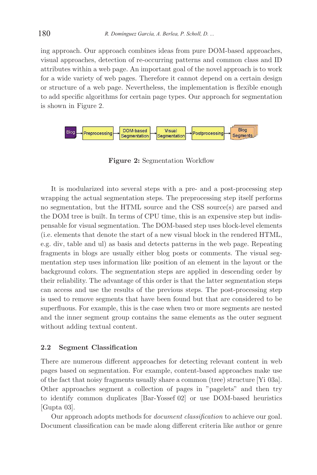ing approach. Our approach combines ideas from pure DOM-based approaches, visual approaches, detection of re-occurring patterns and common class and ID attributes within a web page. An important goal of the novel approach is to work for a wide variety of web pages. Therefore it cannot depend on a certain design or structure of a web page. Nevertheless, the implementation is flexible enough to add specific algorithms for certain page types. Our approach for segmentation is shown in Figure 2.



**Figure 2:** Segmentation Workflow

It is modularized into several steps with a pre- and a post-processing step wrapping the actual segmentation steps. The preprocessing step itself performs no segmentation, but the HTML source and the CSS source(s) are parsed and the DOM tree is built. In terms of CPU time, this is an expensive step but indispensable for visual segmentation. The DOM-based step uses block-level elements (i.e. elements that denote the start of a new visual block in the rendered HTML, e.g. div, table and ul) as basis and detects patterns in the web page. Repeating fragments in blogs are usually either blog posts or comments. The visual segmentation step uses information like position of an element in the layout or the background colors. The segmentation steps are applied in descending order by their reliability. The advantage of this order is that the latter segmentation steps can access and use the results of the previous steps. The post-processing step is used to remove segments that have been found but that are considered to be superfluous. For example, this is the case when two or more segments are nested and the inner segment group contains the same elements as the outer segment without adding textual content.

#### **2.2 Segment Classification**

There are numerous different approaches for detecting relevant content in web pages based on segmentation. For example, content-based approaches make use of the fact that noisy fragments usually share a common (tree) structure [Yi 03a]. Other approaches segment a collection of pages in "pagelets" and then try to identify common duplicates [Bar-Yossef 02] or use DOM-based heuristics [Gupta 03].

Our approach adopts methods for document classification to achieve our goal. Document classification can be made along different criteria like author or genre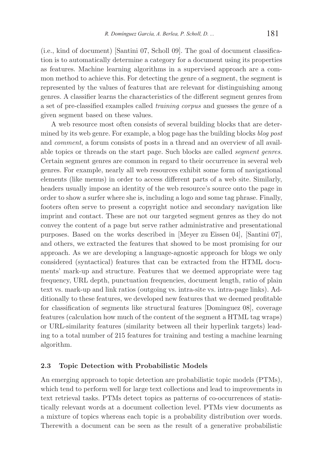(i.e., kind of document) [Santini 07, Scholl 09]. The goal of document classification is to automatically determine a category for a document using its properties as features. Machine learning algorithms in a supervised approach are a common method to achieve this. For detecting the genre of a segment, the segment is represented by the values of features that are relevant for distinguishing among genres. A classifier learns the characteristics of the different segment genres from a set of pre-classified examples called training corpus and guesses the genre of a given segment based on these values.

A web resource most often consists of several building blocks that are determined by its web genre. For example, a blog page has the building blocks blog post and comment, a forum consists of posts in a thread and an overview of all available topics or threads on the start page. Such blocks are called segment genres. Certain segment genres are common in regard to their occurrence in several web genres. For example, nearly all web resources exhibit some form of navigational elements (like menus) in order to access different parts of a web site. Similarly, headers usually impose an identity of the web resource's source onto the page in order to show a surfer where she is, including a logo and some tag phrase. Finally, footers often serve to present a copyright notice and secondary navigation like imprint and contact. These are not our targeted segment genres as they do not convey the content of a page but serve rather administrative and presentational purposes. Based on the works described in [Meyer zu Eissen 04], [Santini 07], and others, we extracted the features that showed to be most promising for our approach. As we are developing a language-agnostic approach for blogs we only considered (syntactical) features that can be extracted from the HTML documents' mark-up and structure. Features that we deemed appropriate were tag frequency, URL depth, punctuation frequencies, document length, ratio of plain text vs. mark-up and link ratios (outgoing vs. intra-site vs. intra-page links). Additionally to these features, we developed new features that we deemed profitable for classification of segments like structural features [Dominguez 08], coverage features (calculation how much of the content of the segment a HTML tag wraps) or URL-similarity features (similarity between all their hyperlink targets) leading to a total number of 215 features for training and testing a machine learning algorithm.

#### **2.3 Topic Detection with Probabilistic Models**

An emerging approach to topic detection are probabilistic topic models (PTMs), which tend to perform well for large text collections and lead to improvements in text retrieval tasks. PTMs detect topics as patterns of co-occurrences of statistically relevant words at a document collection level. PTMs view documents as a mixture of topics whereas each topic is a probability distribution over words. Therewith a document can be seen as the result of a generative probabilistic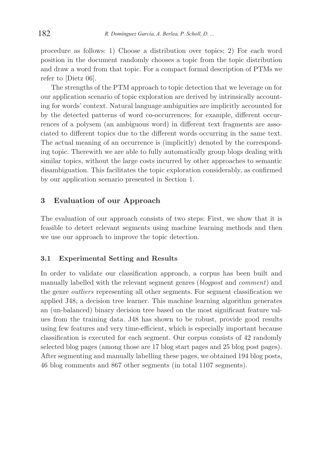procedure as follows: 1) Choose a distribution over topics; 2) For each word position in the document randomly chooses a topic from the topic distribution and draw a word from that topic. For a compact formal description of PTMs we refer to [Dietz 06].

The strengths of the PTM approach to topic detection that we leverage on for our application scenario of topic exploration are derived by intrinsically accounting for words' context. Natural language ambiguities are implicitly accounted for by the detected patterns of word co-occurrences; for example, different occurrences of a polysem (an ambiguous word) in different text fragments are associated to different topics due to the different words occurring in the same text. The actual meaning of an occurrence is (implicitly) denoted by the corresponding topic. Therewith we are able to fully automatically group blogs dealing with similar topics, without the large costs incurred by other approaches to semantic disambiguation. This facilitates the topic exploration considerably, as confirmed by our application scenario presented in Section 1.

# **3 Evaluation of our Approach**

The evaluation of our approach consists of two steps: First, we show that it is feasible to detect relevant segments using machine learning methods and then we use our approach to improve the topic detection.

# **3.1 Experimental Setting and Results**

In order to validate our classification approach, a corpus has been built and manually labelled with the relevant segment genres (blogpost and comment) and the genre outliers representing all other segments. For segment classification we applied J48, a decision tree learner. This machine learning algorithm generates an (un-balanced) binary decision tree based on the most significant feature values from the training data. J48 has shown to be robust, provide good results using few features and very time-efficient, which is especially important because classification is executed for each segment. Our corpus consists of 42 randomly selected blog pages (among those are 17 blog start pages and 25 blog post pages). After segmenting and manually labelling these pages, we obtained 194 blog posts, 46 blog comments and 867 other segments (in total 1107 segments).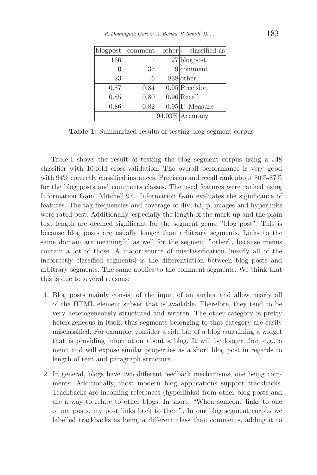|      | blogpost comment | other $\leftarrow$ classified as |
|------|------------------|----------------------------------|
| 166  | 1                | $27$ blogpost                    |
|      | 37               | $9$ comment                      |
| 23   | 6                | $838$ other                      |
| 0.87 | 0.84             | $0.95$ Precision                 |
| 0.85 | 0.80             | $0.96$ <sub>Recall</sub>         |
| 0.86 | 0.82             | $0.95$  F-Measure                |
|      |                  | $94.03\%$ Accuracy               |

**Table 1:** Summarized results of testing blog segment corpus

Table 1 shows the result of testing the blog segment corpus using a J48 classifier with 10-fold cross-validation. The overall performance is very good with 94% correctly classified instances. Precision and recall rank about  $80\%$ -87% for the blog posts and comments classes. The used features were ranked using Information Gain [Mitchell 97]. Information Gain evaluates the significance of features. The tag frequencies and coverage of div, h3, p, images and hyperlinks were rated best. Additionally, especially the length of the mark-up and the plain text length are deemed significant for the segment genre "blog post". This is because blog posts are usually longer than arbitrary segments. Links to the same domain are meaningful as well for the segment "other", because menus contain a lot of those. A major source of misclassification (nearly all of the incorrectly classified segments) is the differentiation between blog posts and arbitrary segments. The same applies to the comment segments. We think that this is due to several reasons:

- 1. Blog posts mainly consist of the input of an author and allow nearly all of the HTML element subset that is available. Therefore, they tend to be very heterogeneously structured and written. The other category is pretty heterogeneous in itself, thus segments belonging to that category are easily misclassified. For example, consider a side bar of a blog containing a widget that is providing information about a blog. It will be longer than e.g., a menu and will expose similar properties as a short blog post in regards to length of text and paragraph structure.
- 2. In general, blogs have two different feedback mechanisms, one being comments. Additionally, most modern blog applications support trackbacks. Trackbacks are incoming references (hyperlinks) from other blog posts and are a way to relate to other blogs. In short, "When someone links to one of my posts, my post links back to them". In our blog segment corpus we labelled trackbacks as being a different class than comments, adding it to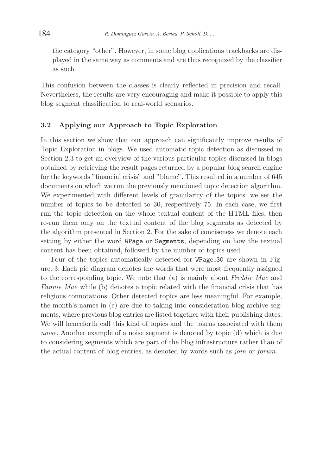the category "other". However, in some blog applications trackbacks are displayed in the same way as comments and are thus recognized by the classifier as such.

This confusion between the classes is clearly reflected in precision and recall. Nevertheless, the results are very encouraging and make it possible to apply this blog segment classification to real-world scenarios.

## **3.2 Applying our Approach to Topic Exploration**

In this section we show that our approach can significantly improve results of Topic Exploration in blogs. We used automatic topic detection as discussed in Section 2.3 to get an overview of the various particular topics discussed in blogs obtained by retrieving the result pages returned by a popular blog search engine for the keywords "financial crisis" and "blame". This resulted in a number of 645 documents on which we run the previously mentioned topic detection algorithm. We experimented with different levels of granularity of the topics: we set the number of topics to be detected to 30, respectively 75. In each case, we first run the topic detection on the whole textual content of the HTML files, then re-run them only on the textual content of the blog segments as detected by the algorithm presented in Section 2. For the sake of conciseness we denote each setting by either the word WPage or Segments, depending on how the textual content has been obtained, followed by the number of topics used.

Four of the topics automatically detected for WPage 30 are shown in Figure. 3. Each pie diagram denotes the words that were most frequently assigned to the corresponding topic. We note that (a) is mainly about Freddie Mac and Fannie Mae while (b) denotes a topic related with the financial crisis that has religious connotations. Other detected topics are less meaningful. For example, the month's names in (c) are due to taking into consideration blog archive segments, where previous blog entries are listed together with their publishing dates. We will henceforth call this kind of topics and the tokens associated with them noise. Another example of a noise segment is denoted by topic (d) which is due to considering segments which are part of the blog infrastructure rather than of the actual content of blog entries, as denoted by words such as *join* or *forum*.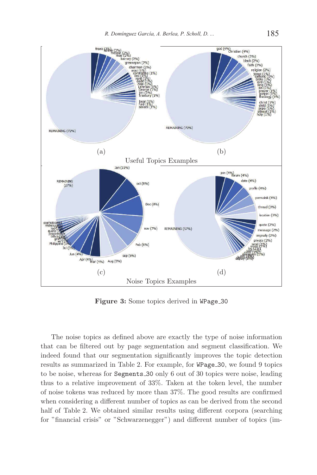

Figure 3: Some topics derived in WPage<sub>-30</sub>

The noise topics as defined above are exactly the type of noise information that can be filtered out by page segmentation and segment classification. We indeed found that our segmentation significantly improves the topic detection results as summarized in Table 2. For example, for WPage 30, we found 9 topics to be noise, whereas for Segments 30 only 6 out of 30 topics were noise, leading thus to a relative improvement of 33%. Taken at the token level, the number of noise tokens was reduced by more than 37%. The good results are confirmed when considering a different number of topics as can be derived from the second half of Table 2. We obtained similar results using different corpora (searching for "financial crisis" or "Schwarzenegger") and different number of topics (im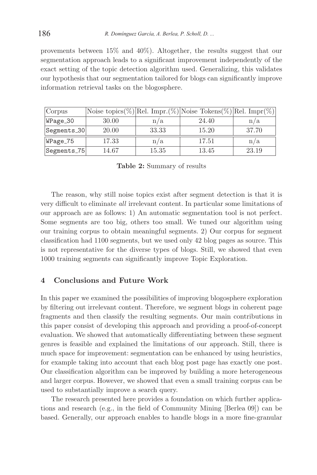provements between 15% and 40%). Altogether, the results suggest that our segmentation approach leads to a significant improvement independently of the exact setting of the topic detection algorithm used. Generalizing, this validates our hypothesis that our segmentation tailored for blogs can significantly improve information retrieval tasks on the blogosphere.

| Corpus                 |       |       | Noise topics(%) Rel. Impr. (%) Noise Tokens(%) Rel. Impr. (%) |       |
|------------------------|-------|-------|---------------------------------------------------------------|-------|
| WPage_30               | 30.00 | n/a   | 24.40                                                         | n/a   |
| Segments_30            | 20.00 | 33.33 | 15.20                                                         | 37.70 |
| WPage_75               | 17.33 | n/a   | 17.51                                                         | n/a   |
| Segments <sub>75</sub> | 14.67 | 15.35 | 13.45                                                         | 23.19 |

**Table 2:** Summary of results

The reason, why still noise topics exist after segment detection is that it is very difficult to eliminate all irrelevant content. In particular some limitations of our approach are as follows: 1) An automatic segmentation tool is not perfect. Some segments are too big, others too small. We tuned our algorithm using our training corpus to obtain meaningful segments. 2) Our corpus for segment classification had 1100 segments, but we used only 42 blog pages as source. This is not representative for the diverse types of blogs. Still, we showed that even 1000 training segments can significantly improve Topic Exploration.

# **4 Conclusions and Future Work**

In this paper we examined the possibilities of improving blogosphere exploration by filtering out irrelevant content. Therefore, we segment blogs in coherent page fragments and then classify the resulting segments. Our main contributions in this paper consist of developing this approach and providing a proof-of-concept evaluation. We showed that automatically differentiating between these segment genres is feasible and explained the limitations of our approach. Still, there is much space for improvement: segmentation can be enhanced by using heuristics, for example taking into account that each blog post page has exactly one post. Our classification algorithm can be improved by building a more heterogeneous and larger corpus. However, we showed that even a small training corpus can be used to substantially improve a search query.

The research presented here provides a foundation on which further applications and research (e.g., in the field of Community Mining [Berlea 09]) can be based. Generally, our approach enables to handle blogs in a more fine-granular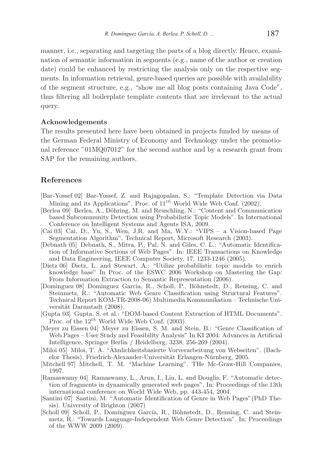manner, i.e., separating and targeting the parts of a blog directly. Hence, examination of semantic information in segments (e.g., name of the author or creation date) could be enhanced by restricting the analysis only on the respective segments. In information retrieval, genre-based queries are possible with availability of the segment structure, e.g., "show me all blog posts containing Java Code", thus filtering all boilerplate template contents that are irrelevant to the actual query.

#### **Acknowledgements**

The results presented here have been obtained in projects funded by means of the German Federal Ministry of Economy and Technology under the promotional reference "01MQ07012" for the second author and by a research grant from SAP for the remaining authors.

## **References**

- [Bar-Yossef 02] Bar-Yossef, Z. and Rajagopalan, S.: "Template Detection via Data Mining and its Applications". Proc. of  $11^{th}$  World Wide Web Conf. (2002).
- [Berlea 09] Berlea, A., Döhring, M. and Reuschling, N.: "Content and Communication based Subcommunity Detection using Probabilistic Topic Models". In International Conference on Intelligent Systems and Agents ISA, 2009.
- [Cai 03] Cai, D., Yu, S., Wen, J.R. and Ma, W.Y.: "VIPS a Vision-based Page Segmentation Algorithm". Technical Report, Microsoft Research (2003).
- [Debnath 05] Debnath, S., Mitra, P., Pal, N. and Giles, C. L.: "Automatic Identification of Informative Sections of Web Pages". In: IEEE Transactions on Knowledge and Data Engineering, IEEE Computer Society, 17, 1233-1246 (2005).
- [Dietz 06] Dietz, L. and Stewart, A.: "Utilize probabilistic topic models to enrich knowledge base" In Proc. of the ESWC 2006 Workshop on Mastering the Gap: From Information Extraction to Semantic Representation (2006).
- [Dominguez 08] Dominguez Garcia, R., Scholl, P., Böhnstedt, D., Rensing, C. and Steinmetz, R.: "Automatic Web Genre Classification using Structural Features". Technical Report KOM-TR-2008-06) Multimedia Kommunikation – Technische Universität Darmstadt (2008).
- [Gupta 03] Gupta, S. et al.: "DOM-based Content Extraction of HTML Documents". Proc. of the  $12^{th}$  World Wide Web Conf. (2003).
- [Meyer zu Eissen 04] Meyer zu Eissen, S. M. and Stein, B.: "Genre Classification of Web Pages – User Study and Feasibility Analysis" In KI 2004: Advances in Artificial Intelligence, Springer Berlin / Heidelberg, 3238, 256-269 (2004).
- [Miloi 05] Miloi, T. A. "Ahnlichkeitsbasierte Vorverarbeitung von Webseiten". (Bach- ¨ elor Thesis). Friedrich-Alexander-Universität Erlangen-Nürnberg, 2005.
- [Mitchell 97] Mitchell, T. M. "Machine Learning". THe Mc-Graw-Hill Companies, 1997.
- [Ramaswamy 04] Ramaswamy, L., Arun, I., Liu, L. and Douglis, F. "Automatic detection of fragments in dynamically generated web pages". In: Proceedings of the 13th international conference on World Wide Web, pp. 443-454, 2004.
- [Santini 07] Santini, M. "Automatic Identification of Genre in Web Pages"(PhD Thesis). University of Brighton (2007)
- [Scholl 09] Scholl, P., Domínguez García, R., Böhnstedt, D., Rensing, C. and Steinmetz, R.: "Towards Language-Independent Web Genre Detection". In: Proceedings of the WWW 2009 (2009).